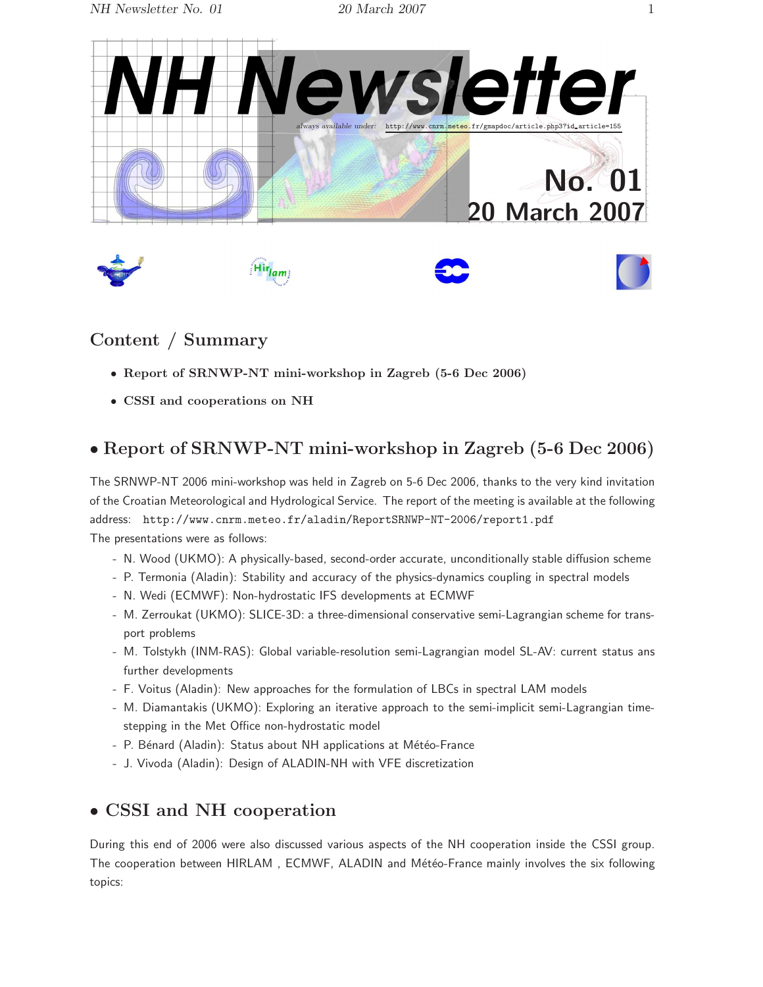

## Content / Summary

- Report of SRNWP-NT mini-workshop in Zagreb (5-6 Dec 2006)
- CSSI and cooperations on NH

## • Report of SRNWP-NT mini-workshop in Zagreb (5-6 Dec 2006)

The SRNWP-NT 2006 mini-workshop was held in Zagreb on 5-6 Dec 2006, thanks to the very kind invitation of the Croatian Meteorological and Hydrological Service. The report of the meeting is available at the following address: http://www.cnrm.meteo.fr/aladin/ReportSRNWP-NT-2006/report1.pdf The presentations were as follows:

- N. Wood (UKMO): A physically-based, second-order accurate, unconditionally stable diffusion scheme

- P. Termonia (Aladin): Stability and accuracy of the physics-dynamics coupling in spectral models
- N. Wedi (ECMWF): Non-hydrostatic IFS developments at ECMWF
- M. Zerroukat (UKMO): SLICE-3D: a three-dimensional conservative semi-Lagrangian scheme for transport problems
- M. Tolstykh (INM-RAS): Global variable-resolution semi-Lagrangian model SL-AV: current status ans further developments
- F. Voitus (Aladin): New approaches for the formulation of LBCs in spectral LAM models
- M. Diamantakis (UKMO): Exploring an iterative approach to the semi-implicit semi-Lagrangian timestepping in the Met Office non-hydrostatic model
- P. Bénard (Aladin): Status about NH applications at Météo-France
- J. Vivoda (Aladin): Design of ALADIN-NH with VFE discretization

## • CSSI and NH cooperation

During this end of 2006 were also discussed various aspects of the NH cooperation inside the CSSI group. The cooperation between HIRLAM, ECMWF, ALADIN and Météo-France mainly involves the six following topics: